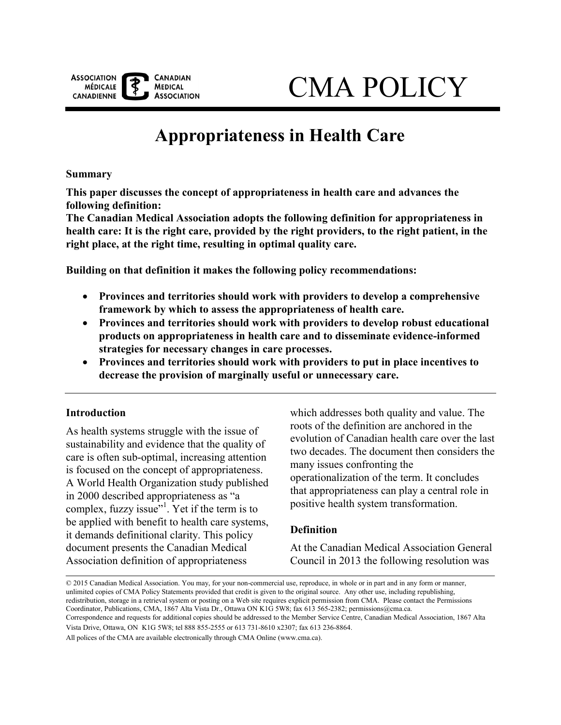

# CMA POLICY

# **Appropriateness in Health Care**

**Summary** 

**This paper discusses the concept of appropriateness in health care and advances the following definition:** 

**The Canadian Medical Association adopts the following definition for appropriateness in health care: It is the right care, provided by the right providers, to the right patient, in the right place, at the right time, resulting in optimal quality care.** 

**Building on that definition it makes the following policy recommendations:** 

- **Provinces and territories should work with providers to develop a comprehensive framework by which to assess the appropriateness of health care.**
- **Provinces and territories should work with providers to develop robust educational products on appropriateness in health care and to disseminate evidence-informed strategies for necessary changes in care processes.**
- **Provinces and territories should work with providers to put in place incentives to decrease the provision of marginally useful or unnecessary care.**

## **Introduction**

As health systems struggle with the issue of sustainability and evidence that the quality of care is often sub-optimal, increasing attention is focused on the concept of appropriateness. A World Health Organization study published in 2000 described appropriateness as "a complex, fuzzy issue"<sup>[1](#page-7-0)</sup>. Yet if the term is to be applied with benefit to health care systems, it demands definitional clarity. This policy document presents the Canadian Medical Association definition of appropriateness

which addresses both quality and value. The roots of the definition are anchored in the evolution of Canadian health care over the last two decades. The document then considers the many issues confronting the operationalization of the term. It concludes that appropriateness can play a central role in positive health system transformation.

## **Definition**

At the Canadian Medical Association General Council in 2013 the following resolution was

All polices of the CMA are available electronically through CMA Online (www.cma.ca).

 © 2015 Canadian Medical Association. You may, for your non-commercial use, reproduce, in whole or in part and in any form or manner, unlimited copies of CMA Policy Statements provided that credit is given to the original source. Any other use, including republishing, redistribution, storage in a retrieval system or posting on a Web site requires explicit permission from CMA. Please contact the Permissions Coordinator, Publications, CMA, 1867 Alta Vista Dr., Ottawa ON K1G 5W8; fax 613 565-2382; permissions@cma.ca. Correspondence and requests for additional copies should be addressed to the Member Service Centre, Canadian Medical Association, 1867 Alta Vista Drive, Ottawa, ON K1G 5W8; tel 888 855-2555 or 613 731-8610 x2307; fax 613 236-8864.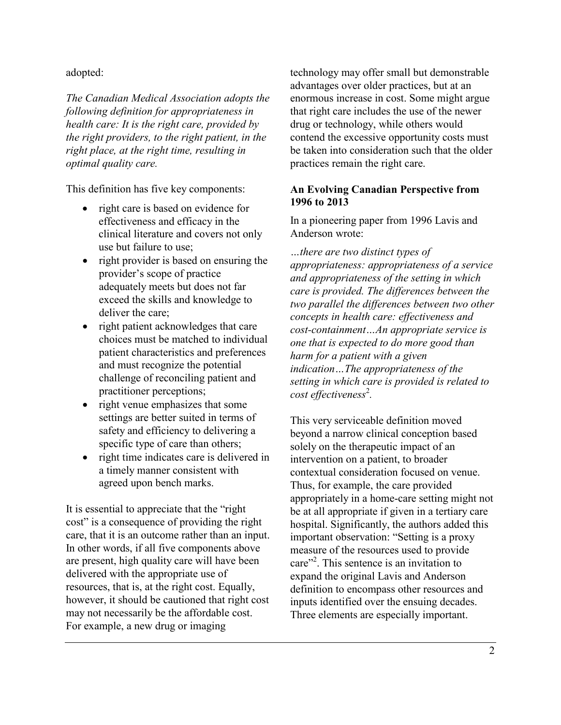adopted:

*The Canadian Medical Association adopts the following definition for appropriateness in health care: It is the right care, provided by the right providers, to the right patient, in the right place, at the right time, resulting in optimal quality care.* 

This definition has five key components:

- right care is based on evidence for effectiveness and efficacy in the clinical literature and covers not only use but failure to use;
- right provider is based on ensuring the provider's scope of practice adequately meets but does not far exceed the skills and knowledge to deliver the care;
- right patient acknowledges that care choices must be matched to individual patient characteristics and preferences and must recognize the potential challenge of reconciling patient and practitioner perceptions;
- right venue emphasizes that some settings are better suited in terms of safety and efficiency to delivering a specific type of care than others;
- right time indicates care is delivered in a timely manner consistent with agreed upon bench marks.

It is essential to appreciate that the "right cost" is a consequence of providing the right care, that it is an outcome rather than an input. In other words, if all five components above are present, high quality care will have been delivered with the appropriate use of resources, that is, at the right cost. Equally, however, it should be cautioned that right cost may not necessarily be the affordable cost. For example, a new drug or imaging

 practices remain the right care. technology may offer small but demonstrable advantages over older practices, but at an enormous increase in cost. Some might argue that right care includes the use of the newer drug or technology, while others would contend the excessive opportunity costs must be taken into consideration such that the older

## **An Evolving Canadian Perspective from 1996 to 2013**

In a pioneering paper from 1996 Lavis and Anderson wrote:

*…there are two distinct types of appropriateness: appropriateness of a service and appropriateness of the setting in which care is provided. The differences between the two parallel the differences between two other concepts in health care: effectiveness and cost-containment…An appropriate service is one that is expected to do more good than harm for a patient with a given indication…The appropriateness of the setting in which care is provided is related to*  cost effectiveness<sup>2</sup>.

This very serviceable definition moved beyond a narrow clinical conception based solely on the therapeutic impact of an intervention on a patient, to broader contextual consideration focused on venue. Thus, for example, the care provided appropriately in a home-care setting might not be at all appropriate if given in a tertiary care hospital. Significantly, the authors added this important observation: "Setting is a proxy measure of the resources used to provide care"<sup>2</sup>. This sentence is an invitation to expand the original Lavis and Anderson definition to encompass other resources and inputs identified over the ensuing decades. Three elements are especially important.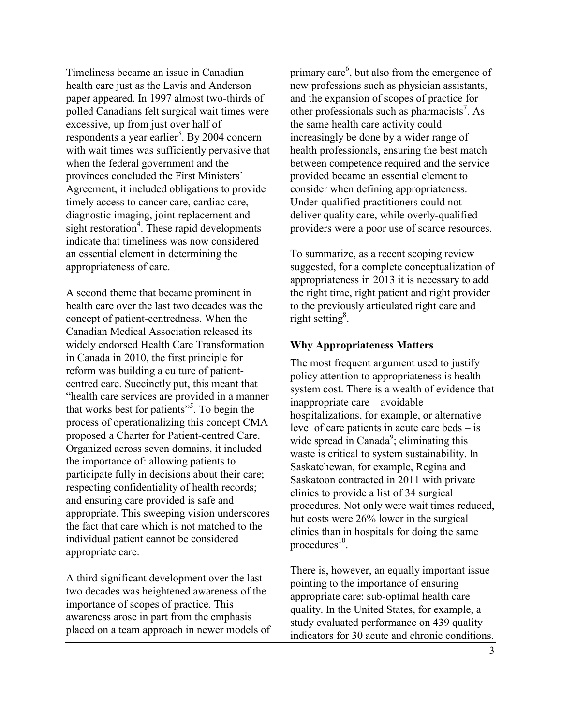Timeliness became an issue in Canadian health care just as the Lavis and Anderson paper appeared. In 1997 almost two-thirds of polled Canadians felt surgical wait times were excessive, up from just over half of respondents a year earlier<sup>3</sup>. By 2004 concern with wait times was sufficiently pervasive that when the federal government and the provinces concluded the First Ministers' Agreement, it included obligations to provide timely access to cancer care, cardiac care, diagnostic imaging, joint replacement and sight restoratio[n](#page-7-3)<sup>4</sup>. These rapid developments indicate that timeliness was now considered an essential element in determining the appropriateness of care.

A second theme that became prominent in health care over the last two decades was the concept of patient-centredness. When the Canadian Medical Association released its widely endorsed Health Care Transformation in Canada in 2010, the first principle for reform was building a culture of patientcentred care. Succinctly put, this meant that "health care services are provided in a manner that works best for patients"<sup>[5](#page-7-4)</sup>. To begin the process of operationalizing this concept CMA proposed a Charter for Patient-centred Care. Organized across seven domains, it included the importance of: allowing patients to participate fully in decisions about their care; respecting confidentiality of health records; and ensuring care provided is safe and appropriate. This sweeping vision underscores the fact that care which is not matched to the individual patient cannot be considered appropriate care.

A third significant development over the last two decades was heightened awareness of the importance of scopes of practice. This awareness arose in part from the emphasis placed on a team approach in newer models of

primary care<sup>6</sup>, but also from the emergence of new professions such as physician assistants, and the expansion of scopes of practice for other professionals such as pharmacists<sup>[7](#page-7-6)</sup>. As the same health care activity could increasingly be done by a wider range of health professionals, ensuring the best match between competence required and the service provided became an essential element to consider when defining appropriateness. Under-qualified practitioners could not deliver quality care, while overly-qualified providers were a poor use of scarce resources.

To summarize, as a recent scoping review suggested, for a complete conceptualization of appropriateness in 2013 it is necessary to add the right time, right patient and right provider to the previously articulated right care and right setting<sup>8</sup>.

#### **Why Appropriateness Matters**

 inappropriate care – avoidable The most frequent argument used to justify policy attention to appropriateness is health system cost. There is a wealth of evidence that hospitalizations, for example, or alternative level of care patients in acute care beds – is wide spread in Canada<sup>9</sup>; eliminating this waste is critical to system sustainability. In Saskatchewan, for example, Regina and Saskatoon contracted in 2011 with private clinics to provide a list of 34 surgical procedures. Not only were wait times reduced, but costs were 26% lower in the surgical clinics than in hospitals for doing the same procedures $^{10}$ .

There is, however, an equally important issue pointing to the importance of ensuring appropriate care: sub-optimal health care quality. In the United States, for example, a study evaluated performance on 439 quality indicators for 30 acute and chronic conditions.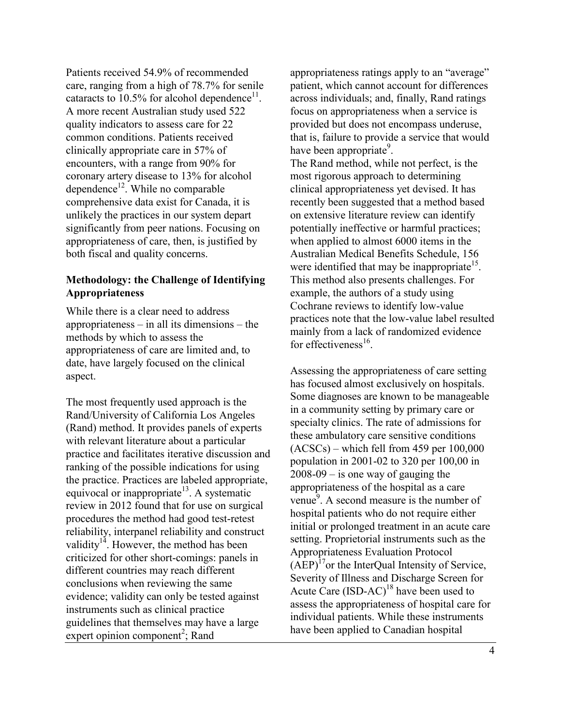Patients received 54.9% of recommended care, ranging from a high of 78.7% for senile cataracts to 10.5% for alcohol dependence<sup>11</sup>. A more recent Australian study used 522 quality indicators to assess care for 22 common conditions. Patients received clinically appropriate care in 57% of encounters, with a range from 90% for coronary artery disease to 13% for alcohol dependence<sup>12</sup>. While no comparable comprehensive data exist for Canada, it is unlikely the practices in our system depart significantly from peer nations. Focusing on appropriateness of care, then, is justified by both fiscal and quality concerns.

# **Methodology: the Challenge of Identifying Appropriateness**

While there is a clear need to address appropriateness – in all its dimensions – the methods by which to assess the appropriateness of care are limited and, to date, have largely focused on the clinical aspect.

The most frequently used approach is the Rand/University of California Los Angeles (Rand) method. It provides panels of experts with relevant literature about a particular practice and facilitates iterative discussion and ranking of the possible indications for using the practice. Practices are labeled appropriate, equivocal or inappropriate<sup>13</sup>. A systematic review in 2012 found that for use on surgical procedures the method had good test-retest reliability, interpanel reliability and construct validity<sup>14</sup>. However, the method has been criticized for other short-comings: panels in different countries may reach different conclusions when reviewing the same evidence; validity can only be tested against instruments such as clinical practice guidelines that themselves may have a large  $\epsilon$ xpert opinion component<sup>[2](#page-7-1)</sup>; Rand

appropriateness ratings apply to an "average" patient, which cannot account for differences across individuals; and, finally, Rand ratings focus on appropriateness when a service is provided but does not encompass underuse, that is, failure to provide a service that would have been appropriate<sup>9</sup>. The Rand method, while not perfect, is the most rigorous approach to determining clinical appropriateness yet devised. It has recently been suggested that a method based on extensive literature review can identify potentially ineffective or harmful practices; when applied to almost 6000 items in the Australian Medical Benefits Schedule, 156 were identified that may be inappropriate<sup>15</sup>. This method also presents challenges. For example, the authors of a study using Cochrane reviews to identify low-value practices note that the low-value label resulted mainly from a lack of randomized evidence for effectiveness $^{16}$ .

Assessing the appropriateness of care setting has focused almost exclusively on hospitals. Some diagnoses are known to be manageable in a community setting by primary care or specialty clinics. The rate of admissions for these ambulatory care sensitive conditions (ACSCs) – which fell from 459 per 100,000 population in 2001-02 to 320 per 100,00 in  $2008-09$  – is one way of gauging the appropriateness of the hospital as a care venue $\overline{9}$ . A second measure is the number of hospital patients who do not require either initial or prolonged treatment in an acute care setting. Proprietorial instruments such as the Appropriateness Evaluation Protocol  $(AEP)^{17}$ or the InterOual Intensity of Service. Severity of Illness and Discharge Screen for Acute Care  $(ISD-AC)^{18}$  have been used to assess the appropriateness of hospital care for individual patients. While these instruments have been applied to Canadian hospital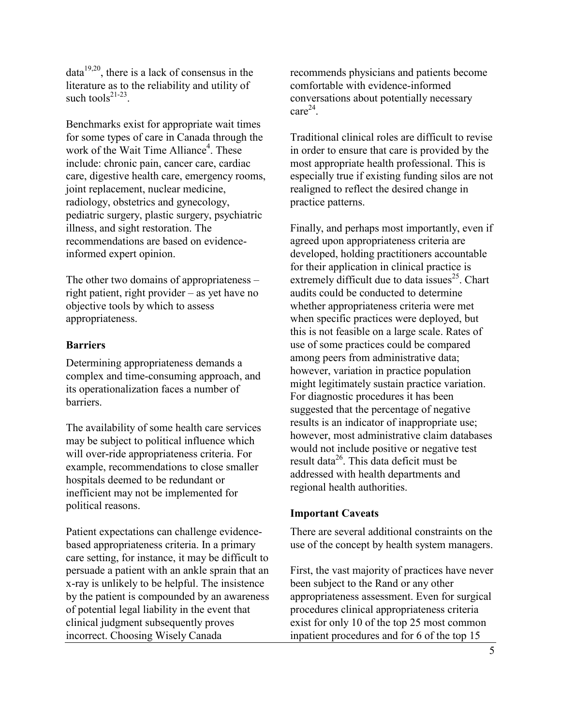dat[a19,](#page-8-0)[20,](#page-8-1) there is a lack of consensus in the literature as to the reliability and utility of such tools $21-23$ .

 include: [chronic pain,](http://www.waittimealliance.ca/waittimes/chronic_pain.htm) [cancer care,](http://www.waittimealliance.ca/waittimes/cancer_care.htm) [cardiac](http://www.waittimealliance.ca/waittimes/cardiac_care.htm)  Benchmarks exist for appropriate wait times for some types of care in Canada through the work of the Wait Time Alliance<sup>4</sup>[.](#page-7-3) These [care,](http://www.waittimealliance.ca/waittimes/cardiac_care.htm) [digestive health care,](http://www.waittimealliance.ca/waittimes/digestive_diseases.htm) [emergency rooms,](http://www.waittimealliance.ca/waittimes/CAEP.pdf) [joint replacement,](http://www.waittimealliance.ca/waittimes/joint_replacement.htm) [nuclear medicine,](http://www.waittimealliance.ca/waittimes/nuclear_medicine.htm)  [radiology,](http://www.waittimealliance.ca/waittimes/nuclear_medicine.htm) [obstetrics and gynecology,](http://www.waittimealliance.ca/waittimes/obgyn.htm) pediatric surgery, [plastic surgery,](http://www.waittimealliance.ca/waittimes/CSPS.pdf) [psychiatric](http://www.waittimealliance.ca/waittimes/psychiatry.htm)  [illness,](http://www.waittimealliance.ca/waittimes/psychiatry.htm) [and sight restoration.](http://www.waittimealliance.ca/waittimes/sight_restoration.htm) The recommendations are based on evidenceinformed expert opinion.

The other two domains of appropriateness – right patient, right provider – as yet have no objective tools by which to assess appropriateness.

#### **Barriers**

Determining appropriateness demands a complex and time-consuming approach, and its operationalization faces a number of barriers.

The availability of some health care services may be subject to political influence which will over-ride appropriateness criteria. For example, recommendations to close smaller hospitals deemed to be redundant or inefficient may not be implemented for political reasons.

Patient expectations can challenge evidencebased appropriateness criteria. In a primary care setting, for instance, it may be difficult to persuade a patient with an ankle sprain that an x-ray is unlikely to be helpful. The insistence by the patient is compounded by an awareness of potential legal liability in the event that clinical judgment subsequently proves incorrect. Choosing Wisely Canada

recommends physicians and patients become comfortable with evidence-informed conversations about potentially necessary  $care^{24}$ 

Traditional clinical roles are difficult to revise in order to ensure that care is provided by the most appropriate health professional. This is especially true if existing funding silos are not realigned to reflect the desired change in practice patterns.

Finally, and perhaps most importantly, even if agreed upon appropriateness criteria are developed, holding practitioners accountable for their application in clinical practice is extremely difficult due to data issues<sup>25</sup>. Chart audits could be conducted to determine whether appropriateness criteria were met when specific practices were deployed, but this is not feasible on a large scale. Rates of use of some practices could be compared among peers from administrative data; however, variation in practice population might legitimately sustain practice variation. For diagnostic procedures it has been suggested that the percentage of negative results is an indicator of inappropriate use; however, most administrative claim databases would not include positive or negative test result data<sup>26</sup>. This data deficit must be addressed with health departments and regional health authorities.

#### **Important Caveats**

There are several additional constraints on the use of the concept by health system managers.

First, the vast majority of practices have never been subject to the Rand or any other appropriateness assessment. Even for surgical procedures clinical appropriateness criteria exist for only 10 of the top 25 most common inpatient procedures and for 6 of the top 15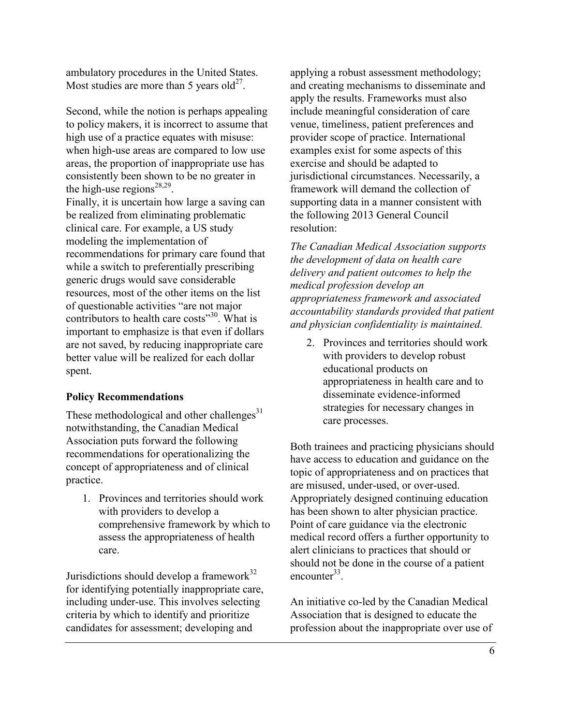ambulatory procedures in the United States. Most studies are more than 5 years old<sup>27</sup>.

Second, while the notion is perhaps appealing to policy makers, it is incorrect to assume that high use of a practice equates with misuse: when high-use areas are compared to low use areas, the proportion of inappropriate use has consistently been shown to be no greater in the high-use regions<sup>[28,](#page-8-5)29</sup>. Finally, it is uncertain how large a saving can be realized from eliminating problematic clinical care. For example, a US study modeling the implementation of recommendations for primary care found that while a switch to preferentially prescribing generic drugs would save considerable resources, most of the other items on the list of questionable activities "are not major contributors to health care costs"<sup>30</sup>. What is important to emphasize is that even if dollars are not saved, by reducing inappropriate care better value will be realized for each dollar spent.

# **Policy Recommendations**

These methodological and other challenges $31$ notwithstanding, the Canadian Medical Association puts forward the following recommendations for operationalizing the concept of appropriateness and of clinical practice.

1. Provinces and territories should work with providers to develop a comprehensive framework by which to assess the appropriateness of health care.

Jurisdictions should develop a framework $32$ for identifying potentially inappropriate care, including under-use. This involves selecting criteria by which to identify and prioritize candidates for assessment; developing and

applying a robust assessment methodology; and creating mechanisms to disseminate and apply the results. Frameworks must also include meaningful consideration of care venue, timeliness, patient preferences and provider scope of practice. International examples exist for some aspects of this exercise and should be adapted to jurisdictional circumstances. Necessarily, a framework will demand the collection of supporting data in a manner consistent with the following 2013 General Council resolution:

*The Canadian Medical Association supports the development of data on health care delivery and patient outcomes to help the medical profession develop an appropriateness framework and associated accountability standards provided that patient and physician confidentiality is maintained.* 

2. Provinces and territories should work with providers to develop robust educational products on appropriateness in health care and to disseminate evidence-informed strategies for necessary changes in care processes.

Both trainees and practicing physicians should have access to education and guidance on the topic of appropriateness and on practices that are misused, under-used, or over-used. Appropriately designed continuing education has been shown to alter physician practice. Point of care guidance via the electronic medical record offers a further opportunity to alert clinicians to practices that should or should not be done in the course of a patient encounter<sup>33</sup>

An initiative co-led by the Canadian Medical Association that is designed to educate the profession about the inappropriate over use of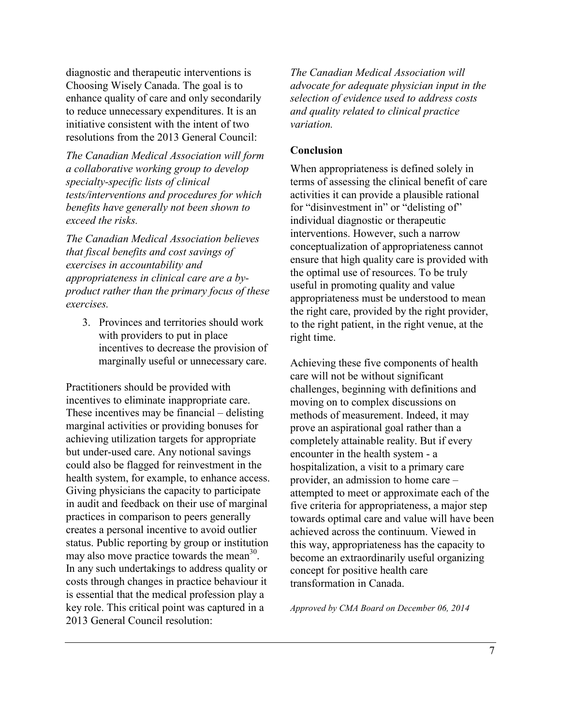diagnostic and therapeutic interventions is Choosing Wisely Canada. The goal is to enhance quality of care and only secondarily to reduce unnecessary expenditures. It is an initiative consistent with the intent of two resolutions from the 2013 General Council:

*The Canadian Medical Association will form a collaborative working group to develop specialty-specific lists of clinical tests/interventions and procedures for which benefits have generally not been shown to exceed the risks.* 

*The Canadian Medical Association believes that fiscal benefits and cost savings of exercises in accountability and appropriateness in clinical care are a byproduct rather than the primary focus of these exercises.* 

3. Provinces and territories should work with providers to put in place incentives to decrease the provision of marginally useful or unnecessary care.

 These incentives may be financial – delisting is essential that the medical profession play a Practitioners should be provided with incentives to eliminate inappropriate care. marginal activities or providing bonuses for achieving utilization targets for appropriate but under-used care. Any notional savings could also be flagged for reinvestment in the health system, for example, to enhance access. Giving physicians the capacity to participate in audit and feedback on their use of marginal practices in comparison to peers generally creates a personal incentive to avoid outlier status. Public reporting by group or institution may also move practice towards the mean<sup>30</sup>. In any such undertakings to address quality or costs through changes in practice behaviour it key role. This critical point was captured in a 2013 General Council resolution:

*The Canadian Medical Association will advocate for adequate physician input in the selection of evidence used to address costs and quality related to clinical practice variation.* 

#### **Conclusion**

When appropriateness is defined solely in terms of assessing the clinical benefit of care activities it can provide a plausible rational for "disinvestment in" or "delisting of" individual diagnostic or therapeutic interventions. However, such a narrow conceptualization of appropriateness cannot ensure that high quality care is provided with the optimal use of resources. To be truly useful in promoting quality and value appropriateness must be understood to mean the right care, provided by the right provider, to the right patient, in the right venue, at the right time.

 provider, an admission to home care – Achieving these five components of health care will not be without significant challenges, beginning with definitions and moving on to complex discussions on methods of measurement. Indeed, it may prove an aspirational goal rather than a completely attainable reality. But if every encounter in the health system - a hospitalization, a visit to a primary care attempted to meet or approximate each of the five criteria for appropriateness, a major step towards optimal care and value will have been achieved across the continuum. Viewed in this way, appropriateness has the capacity to become an extraordinarily useful organizing concept for positive health care transformation in Canada.

 *Approved by CMA Board on December 06, 2014*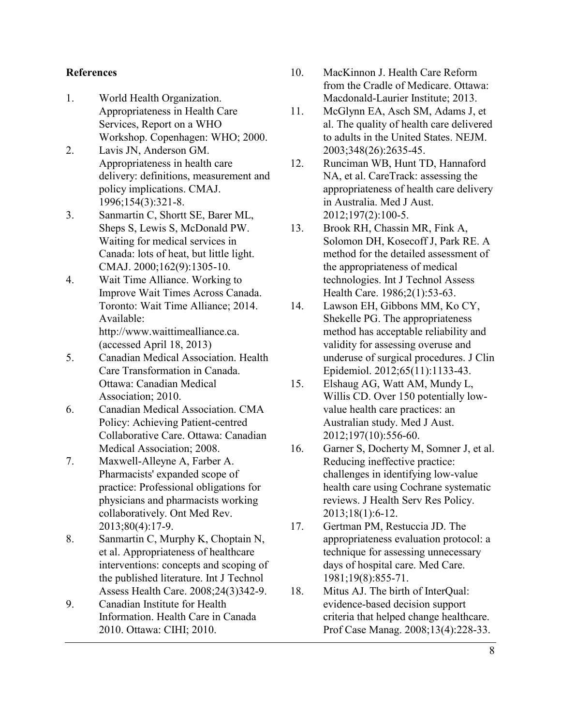## <span id="page-7-7"></span>**References**

- <span id="page-7-8"></span><span id="page-7-0"></span> Workshop. Copenhagen: WHO; 2000. 1. World Health Organization. Appropriateness in Health Care Services, Report on a WHO
- <span id="page-7-9"></span><span id="page-7-1"></span>2. Lavis JN, Anderson GM. Appropriateness in health care delivery: definitions, measurement and policy implications. CMAJ. 1996;154(3):321-8.
- <span id="page-7-10"></span><span id="page-7-2"></span>3. Sanmartin C, Shortt SE, Barer ML, Sheps S, Lewis S, McDonald PW. Waiting for medical services in Canada: lots of heat, but little light. CMAJ. 2000;162(9):1305-10.
- <span id="page-7-11"></span><span id="page-7-3"></span>4. Wait Time Alliance. Working to Improve Wait Times Across Canada. Toronto: Wait Time Alliance; 2014. Available: http://www.waittimealliance.ca. (accessed April 18, 2013)
- <span id="page-7-12"></span><span id="page-7-4"></span> Association; 2010. 5. Canadian Medical Association. Health Care Transformation in Canada. Ottawa: Canadian Medical
- <span id="page-7-5"></span> Medical Association; 2008. 6. Canadian Medical Association. CMA Policy: Achieving Patient-centred Collaborative Care. Ottawa: Canadian
- <span id="page-7-13"></span><span id="page-7-6"></span>7. Maxwell-Alleyne A, Farber A. Pharmacists' expanded scope of practice: Professional obligations for physicians and pharmacists working collaboratively. Ont Med Rev. 2013;80(4):17-9.
- 8. Sanmartin C, Murphy K, Choptain N, et al. Appropriateness of healthcare interventions: concepts and scoping of the published literature. Int J Technol Assess Health Care. 2008;24(3)342-9.
- 9. Canadian Institute for Health Information. Health Care in Canada 2010. Ottawa: CIHI; 2010.
- Macdonald-Laurier Institute; 2013. 10. MacKinnon J. Health Care Reform from the Cradle of Medicare. Ottawa:
- 11. McGlynn EA, Asch SM, Adams J, et al. The quality of health care delivered to adults in the United States. NEJM. 2003;348(26):2635-45.
- 12. Runciman WB, Hunt TD, Hannaford NA, et al. CareTrack: assessing the appropriateness of health care delivery in Australia. Med J Aust. 2012;197(2):100-5.
- 13. Brook RH, Chassin MR, Fink A, Solomon DH, Kosecoff J, Park RE. A method for the detailed assessment of the appropriateness of medical technologies. Int J Technol Assess Health Care. 1986;2(1):53-63.
- 14. Lawson EH, Gibbons MM, Ko CY, Shekelle PG. The appropriateness method has acceptable reliability and validity for assessing overuse and underuse of surgical procedures. [J Clin](http://www.ncbi.nlm.nih.gov/pubmed/?term=The+appropriateness+method+has+acceptable+reliability+and+validity+for+assessing+overuse+and)  [Epidemiol.](http://www.ncbi.nlm.nih.gov/pubmed/?term=The+appropriateness+method+has+acceptable+reliability+and+validity+for+assessing+overuse+and) 2012;65(11):1133-43.
- 15. Elshaug AG, Watt AM, Mundy L, Willis CD. Over 150 potentially lowvalue health care practices: an Australian study. Med J Aust. 2012;197(10):556-60.
- 16. Garner S, Docherty M, Somner J, et al. Reducing ineffective practice: challenges in identifying low-value health care using Cochrane systematic reviews. [J Health Serv Res Policy.](http://www.ncbi.nlm.nih.gov/pubmed/?term=Reducing+ineffective+practice%3A+challenges+in+identifying) 2013;18(1):6-12.
- 17. Gertman PM, Restuccia JD. The appropriateness evaluation protocol: a technique for assessing unnecessary days of hospital care. Med Care. 1981;19(8):855-71.
- 18. Mitus AJ. The birth of InterQual: evidence-based decision support criteria that helped change healthcare. Prof Case Manag. 2008;13(4):228-33.